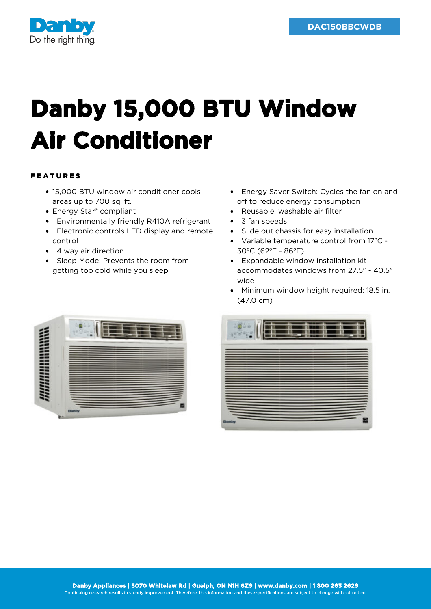

## **Danby 15,000 BTU Window Air Conditioner**

## FEATURES

- 15,000 BTU window air conditioner cools areas up to 700 sq. ft.
- Energy Star<sup>®</sup> compliant
- Environmentally friendly R410A refrigerant
- Electronic controls LED display and remote control
- 4 way air direction
- Sleep Mode: Prevents the room from getting too cold while you sleep
- Energy Saver Switch: Cycles the fan on and off to reduce energy consumption
- Reusable, washable air filter
- 3 fan speeds
- Slide out chassis for easy installation
- Variable temperature control from 17ºC 30ºC (62ºF - 86ºF)
- Expandable window installation kit accommodates windows from 27.5" - 40.5" wide
- Minimum window height required: 18.5 in. (47.0 cm)